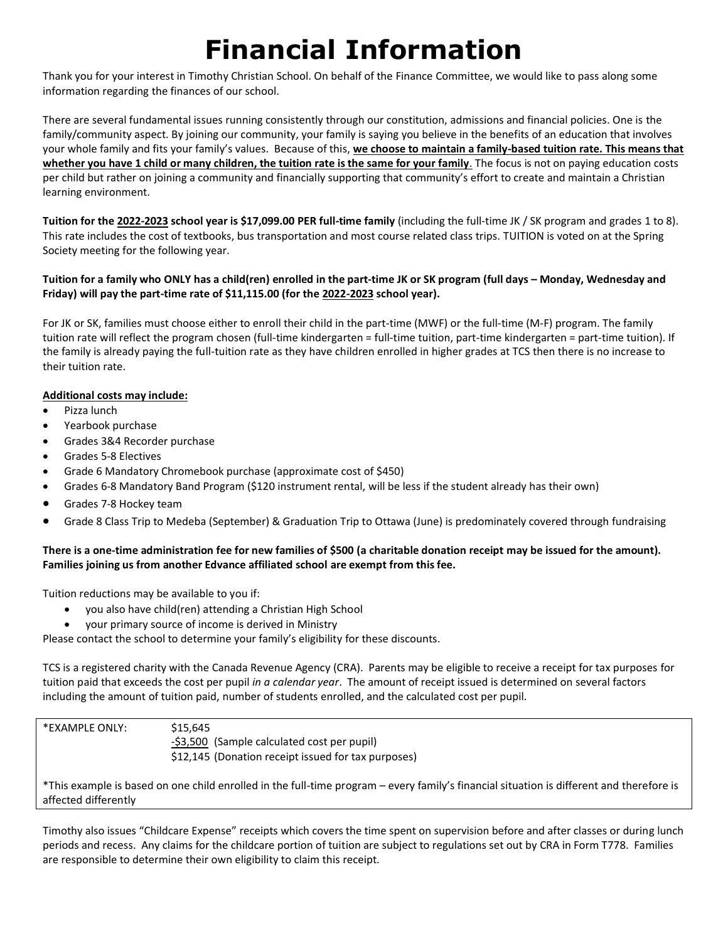## **Financial Information**

Thank you for your interest in Timothy Christian School. On behalf of the Finance Committee, we would like to pass along some information regarding the finances of our school.

There are several fundamental issues running consistently through our constitution, admissions and financial policies. One is the family/community aspect. By joining our community, your family is saying you believe in the benefits of an education that involves your whole family and fits your family's values. Because of this, **we choose to maintain a family-based tuition rate. This means that whether you have 1 child or many children, the tuition rate is the same for your family**. The focus is not on paying education costs per child but rather on joining a community and financially supporting that community's effort to create and maintain a Christian learning environment.

**Tuition for the 2022-2023 school year is \$17,099.00 PER full-time family** (including the full-time JK / SK program and grades 1 to 8). This rate includes the cost of textbooks, bus transportation and most course related class trips. TUITION is voted on at the Spring Society meeting for the following year.

## **Tuition for a family who ONLY has a child(ren) enrolled in the part-time JK or SK program (full days – Monday, Wednesday and Friday) will pay the part-time rate of \$11,115.00 (for the 2022-2023 school year).**

For JK or SK, families must choose either to enroll their child in the part-time (MWF) or the full-time (M-F) program. The family tuition rate will reflect the program chosen (full-time kindergarten = full-time tuition, part-time kindergarten = part-time tuition). If the family is already paying the full-tuition rate as they have children enrolled in higher grades at TCS then there is no increase to their tuition rate.

## **Additional costs may include:**

- Pizza lunch
- Yearbook purchase
- Grades 3&4 Recorder purchase
- Grades 5-8 Electives
- Grade 6 Mandatory Chromebook purchase (approximate cost of \$450)
- Grades 6-8 Mandatory Band Program (\$120 instrument rental, will be less if the student already has their own)
- Grades 7-8 Hockey team
- Grade 8 Class Trip to Medeba (September) & Graduation Trip to Ottawa (June) is predominately covered through fundraising

## **There is a one-time administration fee for new families of \$500 (a charitable donation receipt may be issued for the amount). Families joining us from another Edvance affiliated school are exempt from this fee.**

Tuition reductions may be available to you if:

- you also have child(ren) attending a Christian High School
- your primary source of income is derived in Ministry

Please contact the school to determine your family's eligibility for these discounts.

TCS is a registered charity with the Canada Revenue Agency (CRA). Parents may be eligible to receive a receipt for tax purposes for tuition paid that exceeds the cost per pupil *in a calendar year*. The amount of receipt issued is determined on several factors including the amount of tuition paid, number of students enrolled, and the calculated cost per pupil.

| *EXAMPLE ONLY:       | \$15.645<br>-\$3,500 (Sample calculated cost per pupil)<br>\$12,145 (Donation receipt issued for tax purposes)                           |
|----------------------|------------------------------------------------------------------------------------------------------------------------------------------|
| affected differently | *This example is based on one child enrolled in the full-time program – every family's financial situation is different and therefore is |

Timothy also issues "Childcare Expense" receipts which covers the time spent on supervision before and after classes or during lunch periods and recess. Any claims for the childcare portion of tuition are subject to regulations set out by CRA in Form T778. Families are responsible to determine their own eligibility to claim this receipt.